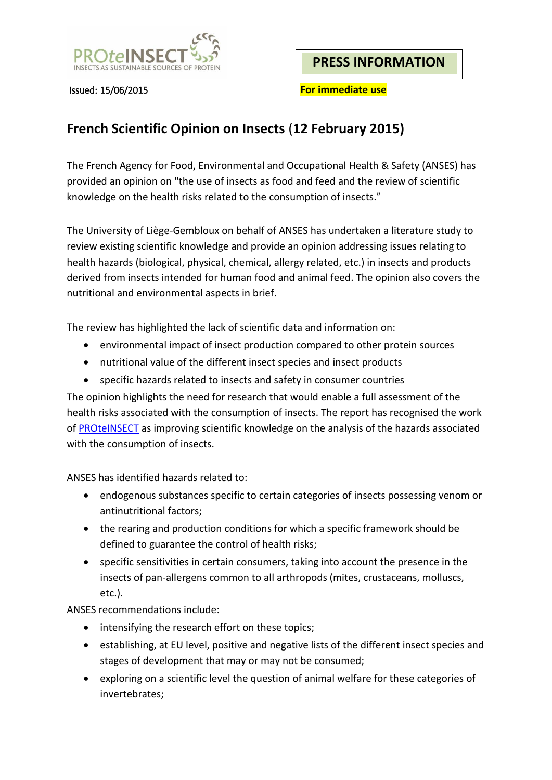

**PRESS INFORMATION**

Issued: 15/06/2015 **For immediate use**

# **French Scientific Opinion on Insects** (**12 February 2015)**

The French Agency for Food, Environmental and Occupational Health & Safety (ANSES) has provided an opinion on "the use of insects as food and feed and the review of scientific knowledge on the health risks related to the consumption of insects."

The University of Liège-Gembloux on behalf of ANSES has undertaken a literature study to review existing scientific knowledge and provide an opinion addressing issues relating to health hazards (biological, physical, chemical, allergy related, etc.) in insects and products derived from insects intended for human food and animal feed. The opinion also covers the nutritional and environmental aspects in brief.

The review has highlighted the lack of scientific data and information on:

- environmental impact of insect production compared to other protein sources
- nutritional value of the different insect species and insect products
- specific hazards related to insects and safety in consumer countries

The opinion highlights the need for research that would enable a full assessment of the health risks associated with the consumption of insects. The report has recognised the work of **PROTEINSECT** as improving scientific knowledge on the analysis of the hazards associated with the consumption of insects.

ANSES has identified hazards related to:

- endogenous substances specific to certain categories of insects possessing venom or antinutritional factors;
- the rearing and production conditions for which a specific framework should be defined to guarantee the control of health risks;
- specific sensitivities in certain consumers, taking into account the presence in the insects of pan-allergens common to all arthropods (mites, crustaceans, molluscs, etc.).

ANSES recommendations include:

- intensifying the research effort on these topics;
- establishing, at EU level, positive and negative lists of the different insect species and stages of development that may or may not be consumed;
- exploring on a scientific level the question of animal welfare for these categories of invertebrates;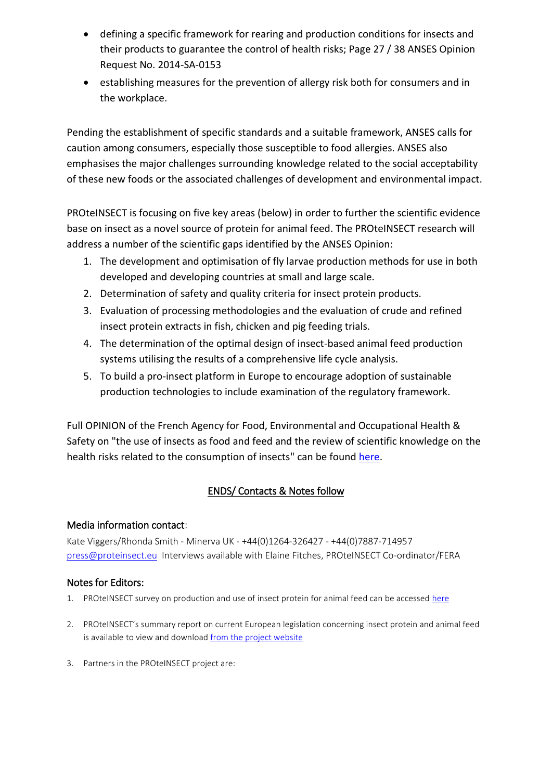- defining a specific framework for rearing and production conditions for insects and their products to guarantee the control of health risks; Page 27 / 38 ANSES Opinion Request No. 2014-SA-0153
- establishing measures for the prevention of allergy risk both for consumers and in the workplace.

Pending the establishment of specific standards and a suitable framework, ANSES calls for caution among consumers, especially those susceptible to food allergies. ANSES also emphasises the major challenges surrounding knowledge related to the social acceptability of these new foods or the associated challenges of development and environmental impact.

PROteINSECT is focusing on five key areas (below) in order to further the scientific evidence base on insect as a novel source of protein for animal feed. The PROteINSECT research will address a number of the scientific gaps identified by the ANSES Opinion:

- 1. The development and optimisation of fly larvae production methods for use in both developed and developing countries at small and large scale.
- 2. Determination of safety and quality criteria for insect protein products.
- 3. Evaluation of processing methodologies and the evaluation of crude and refined insect protein extracts in fish, chicken and pig feeding trials.
- 4. The determination of the optimal design of insect-based animal feed production systems utilising the results of a comprehensive life cycle analysis.
- 5. To build a pro-insect platform in Europe to encourage adoption of sustainable production technologies to include examination of the regulatory framework.

Full OPINION of the French Agency for Food, Environmental and Occupational Health & Safety on "the use of insects as food and feed and the review of scientific knowledge on the health risks related to the consumption of insects" can be found [here.](https://www.anses.fr/sites/default/files/documents/BIORISK2014sa0153EN.pdf)

## ENDS/ Contacts & Notes follow

### Media information contact:

Kate Viggers/Rhonda Smith - Minerva UK - +44(0)1264-326427 - +44(0)7887-714957 [press@proteinsect.eu](mailto:press@proteinsect.eu) Interviews available with Elaine Fitches, PROteINSECT Co-ordinator/FERA

### Notes for Editors:

- 1. PROteINSECT survey on production and use of insect protein for animal feed can be accessed [here](http://www.proteinsect.eu/index.php?id=2)
- 2. PROteINSECT's summary report on current European legislation concerning insect protein and animal feed is available to view and download [from the project website](http://www.proteinsect.eu/index.php?id=3)
- 3. Partners in the PROteINSECT project are: